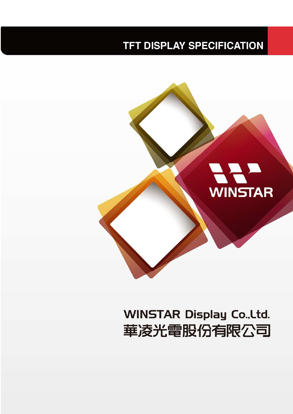## **TFT DISPLAY SPECIFICATION**



# **WINSTAR Display Co., Ltd.** 華凌光電股份有限公司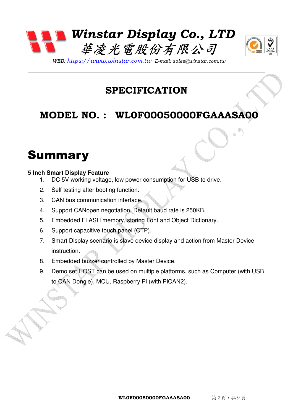



*WEB: https://www.winstar.com.tw E-mail: sales@winstar.com.tw*

## **SPECIFICATION**

## **MODEL NO. : WL0F00050000FGAAASA00**

## **Summary**

#### **5 Inch Smart Display Feature**

- 1. DC 5V working voltage, low power consumption for USB to drive.
- 2. Self testing after booting function.
- 3. CAN bus communication interface.
- 4. Support CANopen negotiation. Default baud rate is 250KB.
- 5. Embedded FLASH memory, storing Font and Object Dictionary.
- 6. Support capacitive touch panel (CTP).
- 7. Smart Display scenario is slave device display and action from Master Device instruction.
- 8. Embedded buzzer controlled by Master Device.
- 9. Demo set HOST can be used on multiple platforms, such as Computer (with USB to CAN Dongle), MCU, Raspberry Pi (with PiCAN2).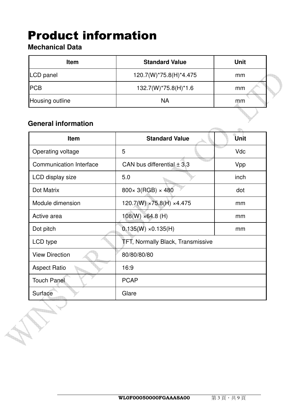## Product information

#### **Mechanical Data**

| <b>Item</b>     | <b>Standard Value</b>  | <b>Unit</b> |
|-----------------|------------------------|-------------|
| LCD panel       | 120.7(W)*75.8(H)*4.475 | mm          |
| <b>PCB</b>      | 132.7(W)*75.8(H)*1.6   | mm          |
| Housing outline | <b>NA</b>              | mm          |

#### **General information**

**Company** 

| <b>Item</b>                    | <b>Standard Value</b>                    | Unit       |
|--------------------------------|------------------------------------------|------------|
| Operating voltage              | 5                                        | <b>Vdc</b> |
| <b>Communication Interface</b> | CAN bus differential $\pm$ 3.3           | Vpp        |
| LCD display size               | 5.0                                      | inch       |
| Dot Matrix                     | $800 \times 3(RGB) \times 480$           | dot        |
| Module dimension               | $120.7(W) \times 75.8(H) \times 4.475$   | mm         |
| Active area                    | $108(W) \times 64.8$ (H)                 | mm         |
| Dot pitch                      | $0.135(W) \times 0.135(H)$               | mm         |
| LCD type                       | <b>TFT, Normally Black, Transmissive</b> |            |
| <b>View Direction</b>          | 80/80/80/80                              |            |
| <b>Aspect Ratio</b>            | 16:9                                     |            |
| <b>Touch Panel</b>             | <b>PCAP</b>                              |            |
| Surface                        | Glare                                    |            |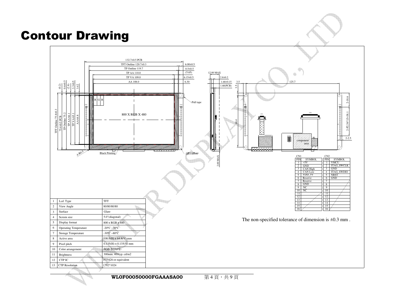## Contour Drawing



**WL0F00050000FGAAASA00** $\overline{0}$  第4頁,共9頁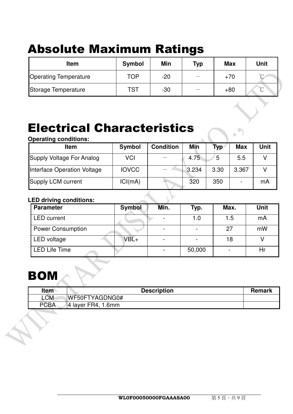# Absolute Maximum Ratings

| <b>Item</b>                  | <b>Symbol</b> | Min   | Typ | <b>Max</b> | <b>Unit</b> |
|------------------------------|---------------|-------|-----|------------|-------------|
| <b>Operating Temperature</b> | <b>TOP</b>    | $-20$ |     | $+70$      | $\sim$      |
| Storage Temperature          | <b>TST</b>    | $-30$ |     | $+80$      | $\circ$     |

## Electrical Characteristics

**Lager** 

#### **Operating conditions:**

| <b>Item</b>                 | <b>Symbol</b> | <b>Condition</b> | <b>Min</b> | <b>Typ</b> | <b>Max</b> | <b>Unit</b> |
|-----------------------------|---------------|------------------|------------|------------|------------|-------------|
| Supply Voltage For Analog   | <b>VCI</b>    |                  | 4.75       | 5          | 5.5        |             |
| Interface Operation Voltage | <b>IOVCC</b>  |                  | 3.234      | 3.30       | 3.367      |             |
| Supply LCM current          | ICI(mA)       |                  | 320        | 350        |            | mA          |

#### **LED driving conditions:**

| <b>Parameter</b>         | <b>Symbol</b> | Min. | Typ.   | Max. | Unit |
|--------------------------|---------------|------|--------|------|------|
| <b>LED</b> current       |               |      | 1.0    | 1.5  | mA   |
| <b>Power Consumption</b> |               |      |        | 27   | mW   |
| LED voltage              | $VBL+$        |      |        | 18   |      |
| <b>LED Life Time</b>     |               |      | 50,000 |      | Hr   |

# **BON**

| Item        | <b>Description</b>  | <b>Remark</b> |
|-------------|---------------------|---------------|
| LCM         | WF50FTYAGDNG0#      |               |
| <b>PCBA</b> | 14 layer FR4, 1.6mm |               |
|             |                     |               |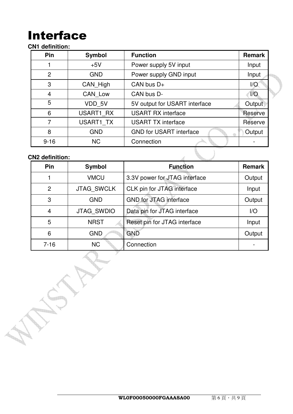# Interface

#### **CN1 definition:**

| Pin            | <b>Symbol</b> | <b>Function</b>                | <b>Remark</b> |
|----------------|---------------|--------------------------------|---------------|
|                | $+5V$         | Power supply 5V input          | Input         |
| $\overline{2}$ | <b>GND</b>    | Power supply GND input         | Input         |
| 3              | CAN High      | CAN bus $D+$                   | 1/O           |
| $\overline{4}$ | CAN Low       | CAN bus D-                     | 1/O           |
| 5              | VDD 5V        | 5V output for USART interface  | Output        |
| 6              | USART1 RX     | <b>USART RX interface</b>      | Reserve       |
| 7              | USART1 TX     | <b>USART TX interface</b>      | Reserve       |
| 8              | <b>GND</b>    | <b>GND for USART interface</b> | Output        |
| $9 - 16$       | <b>NC</b>     | Connection                     |               |

#### **CN2 definition:**

**Kanad** 

| <b>CN2 definition:</b> |                   |                               |               |
|------------------------|-------------------|-------------------------------|---------------|
| Pin<br><b>Symbol</b>   |                   | <b>Function</b>               | <b>Remark</b> |
|                        | <b>VMCU</b>       | 3.3V power for JTAG interface | Output        |
| $\overline{2}$         | <b>JTAG SWCLK</b> | CLK pin for JTAG interface    | Input         |
| 3                      | <b>GND</b>        | <b>GND for JTAG interface</b> | Output        |
| 4                      | <b>JTAG SWDIO</b> | Data pin for JTAG interface   | I/O           |
| 5                      | <b>NRST</b>       | Reset pin for JTAG interface  | Input         |
| 6                      | <b>GND</b>        | <b>GND</b>                    | Output        |
| $7 - 16$               | <b>NC</b>         | Connection                    |               |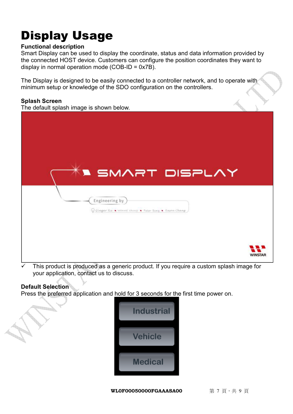# Display Usage

#### **Functional description**

Smart Display can be used to display the coordinate, status and data information provided by the connected HOST device. Customers can configure the position coordinates they want to display in normal operation mode (COB-ID =  $0x7B$ ).

The Display is designed to be easily connected to a controller network, and to operate with minimum setup or knowledge of the SDO configuration on the controllers.

#### **Splash Screen**

The default splash image is shown below.



 This product is produced as a generic product. If you require a custom splash image for your application, contact us to discuss.

#### **Default Selection**

ti in

Press the preferred application and hold for 3 seconds for the first time power on.



**WL0F00050000FGAAASA00** 第7頁,共9頁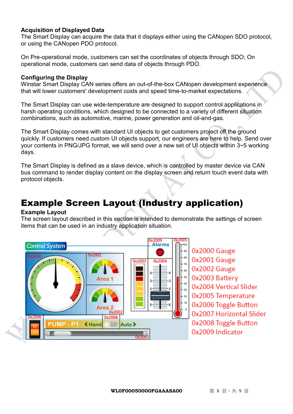#### **Acquisition of Displayed Data**

The Smart Display can acquire the data that it displays either using the CANopen SDO protocol, or using the CANopen PDO protocol.

On Pre-operational mode, customers can set the coordinates of objects through SDO; On operational mode, customers can send data of objects through PDO.

#### **Configuring the Display**

Winstar Smart Display CAN series offers an out-of-the-box CANopen development experience that will lower customers' development costs and speed time-to-market expectations.

The Smart Display can use wide-temperature are designed to support control applications in harsh operating conditions, which designed to be connected to a variety of different situation combinations, such as automotive, marine, power generation and oil-and-gas.

The Smart Display comes with standard UI objects to get customers project off the ground quickly. If customers need custom UI objects support, our engineers are here to help. Send over your contents in PNG/JPG format, we will send over a new set of UI objects within 3~5 working days.

The Smart Display is defined as a slave device, which is controlled by master device via CAN bus command to render display content on the display screen and return touch event data with protocol objects.

### Example Screen Layout (Industry application)

#### **Example Layout**

The screen layout described in this section is intended to demonstrate the settings of screen items that can be used in an industry application situation.



Ox2000 Gauge 0x2001 Gauge 0x2002 Gauge 0x2003 Battery 0x2004 Vertical Slider 0x2005 Temperature 0x2006 Toggle Button 0x2007 Horizontal Slider 0x2008 Toggle Button 0x2009 Indicator